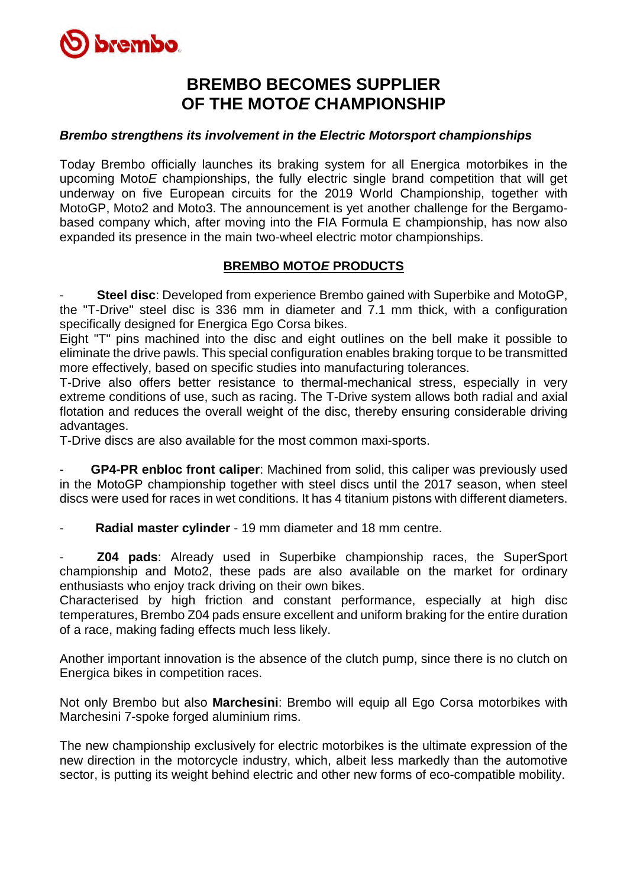

## **BREMBO BECOMES SUPPLIER OF THE MOTO***E* **CHAMPIONSHIP**

## *Brembo strengthens its involvement in the Electric Motorsport championships*

Today Brembo officially launches its braking system for all Energica motorbikes in the upcoming Moto*E* championships, the fully electric single brand competition that will get underway on five European circuits for the 2019 World Championship, together with MotoGP, Moto2 and Moto3. The announcement is yet another challenge for the Bergamobased company which, after moving into the FIA Formula E championship, has now also expanded its presence in the main two-wheel electric motor championships.

## **BREMBO MOTO***E* **PRODUCTS**

**Steel disc**: Developed from experience Brembo gained with Superbike and MotoGP. the "T-Drive" steel disc is 336 mm in diameter and 7.1 mm thick, with a configuration specifically designed for Energica Ego Corsa bikes.

Eight "T" pins machined into the disc and eight outlines on the bell make it possible to eliminate the drive pawls. This special configuration enables braking torque to be transmitted more effectively, based on specific studies into manufacturing tolerances.

T-Drive also offers better resistance to thermal-mechanical stress, especially in very extreme conditions of use, such as racing. The T-Drive system allows both radial and axial flotation and reduces the overall weight of the disc, thereby ensuring considerable driving advantages.

T-Drive discs are also available for the most common maxi-sports.

**GP4-PR enbloc front caliper:** Machined from solid, this caliper was previously used in the MotoGP championship together with steel discs until the 2017 season, when steel discs were used for races in wet conditions. It has 4 titanium pistons with different diameters.

- **Radial master cylinder** - 19 mm diameter and 18 mm centre.

- **Z04 pads**: Already used in Superbike championship races, the SuperSport championship and Moto2, these pads are also available on the market for ordinary enthusiasts who enjoy track driving on their own bikes.

Characterised by high friction and constant performance, especially at high disc temperatures, Brembo Z04 pads ensure excellent and uniform braking for the entire duration of a race, making fading effects much less likely.

Another important innovation is the absence of the clutch pump, since there is no clutch on Energica bikes in competition races.

Not only Brembo but also **Marchesini**: Brembo will equip all Ego Corsa motorbikes with Marchesini 7-spoke forged aluminium rims.

The new championship exclusively for electric motorbikes is the ultimate expression of the new direction in the motorcycle industry, which, albeit less markedly than the automotive sector, is putting its weight behind electric and other new forms of eco-compatible mobility.